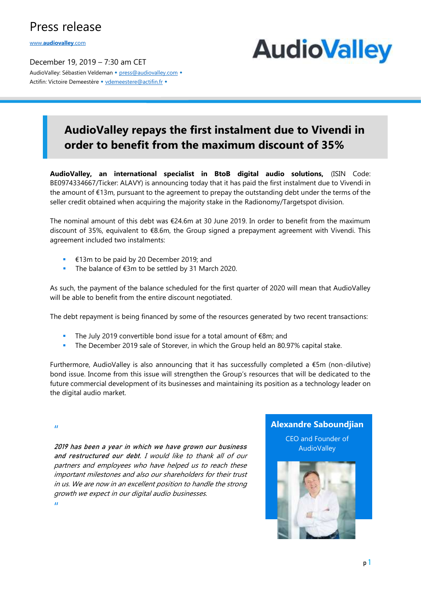## Press release

www.**[audiovalley](http://www.audiovalley.com/)**.com

December 19, 2019 – 7:30 am CET AudioValley: Sébastien Veldeman + [press@audiovalley.com](mailto:press@audiovalley.com) + Actifin: Victoire Demeestère • [vdemeestere@actifin.fr](mailto:vdemeestere@actifin.fr?subject=AUDIOVALLEY%20Question) •

# **AudioValley**

## **AudioValley repays the first instalment due to Vivendi in order to benefit from the maximum discount of 35%**

**AudioValley, an international specialist in BtoB digital audio solutions,** (ISIN Code: BE0974334667/Ticker: ALAVY) is announcing today that it has paid the first instalment due to Vivendi in the amount of €13m, pursuant to the agreement to prepay the outstanding debt under the terms of the seller credit obtained when acquiring the majority stake in the Radionomy/Targetspot division.

The nominal amount of this debt was €24.6m at 30 June 2019. In order to benefit from the maximum discount of 35%, equivalent to €8.6m, the Group signed a prepayment agreement with Vivendi. This agreement included two instalments:

- €13m to be paid by 20 December 2019; and
- The balance of €3m to be settled by 31 March 2020.

As such, the payment of the balance scheduled for the first quarter of 2020 will mean that AudioValley will be able to benefit from the entire discount negotiated.

The debt repayment is being financed by some of the resources generated by two recent transactions:

- The July 2019 convertible bond issue for a total amount of €8m; and
- The December 2019 sale of Storever, in which the Group held an 80.97% capital stake.

Furthermore, AudioValley is also announcing that it has successfully completed a €5m (non-dilutive) bond issue. Income from this issue will strengthen the Group's resources that will be dedicated to the future commercial development of its businesses and maintaining its position as a technology leader on the digital audio market.

"

2019 has been a year in which we have grown our business and restructured our debt. I would like to thank all of our partners and employees who have helped us to reach these important milestones and also our shareholders for their trust in us. We are now in an excellent position to handle the strong growth we expect in our digital audio businesses. "

#### **Alexandre Saboundjian**

CEO and Founder of **AudioValley**